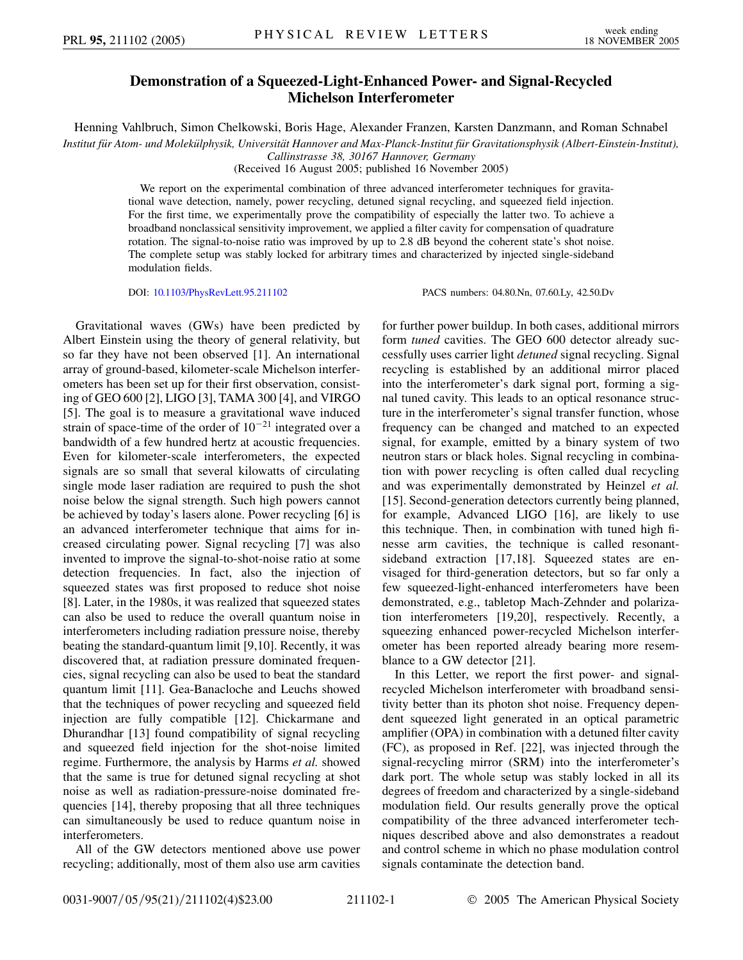## **Demonstration of a Squeezed-Light-Enhanced Power- and Signal-Recycled Michelson Interferometer**

Henning Vahlbruch, Simon Chelkowski, Boris Hage, Alexander Franzen, Karsten Danzmann, and Roman Schnabel

*Institut fu¨r Atom- und Moleku¨lphysik, Universita¨t Hannover and Max-Planck-Institut fu¨r Gravitationsphysik (Albert-Einstein-Institut),*

*Callinstrasse 38, 30167 Hannover, Germany*

(Received 16 August 2005; published 16 November 2005)

We report on the experimental combination of three advanced interferometer techniques for gravitational wave detection, namely, power recycling, detuned signal recycling, and squeezed field injection. For the first time, we experimentally prove the compatibility of especially the latter two. To achieve a broadband nonclassical sensitivity improvement, we applied a filter cavity for compensation of quadrature rotation. The signal-to-noise ratio was improved by up to 2.8 dB beyond the coherent state's shot noise. The complete setup was stably locked for arbitrary times and characterized by injected single-sideband modulation fields.

DOI: [10.1103/PhysRevLett.95.211102](http://dx.doi.org/10.1103/PhysRevLett.95.211102) PACS numbers: 04.80.Nn, 07.60.Ly, 42.50.Dv

Gravitational waves (GWs) have been predicted by Albert Einstein using the theory of general relativity, but so far they have not been observed [1]. An international array of ground-based, kilometer-scale Michelson interferometers has been set up for their first observation, consisting of GEO 600 [2], LIGO [3], TAMA 300 [4], and VIRGO [5]. The goal is to measure a gravitational wave induced strain of space-time of the order of  $10^{-21}$  integrated over a bandwidth of a few hundred hertz at acoustic frequencies. Even for kilometer-scale interferometers, the expected signals are so small that several kilowatts of circulating single mode laser radiation are required to push the shot noise below the signal strength. Such high powers cannot be achieved by today's lasers alone. Power recycling [6] is an advanced interferometer technique that aims for increased circulating power. Signal recycling [7] was also invented to improve the signal-to-shot-noise ratio at some detection frequencies. In fact, also the injection of squeezed states was first proposed to reduce shot noise [8]. Later, in the 1980s, it was realized that squeezed states can also be used to reduce the overall quantum noise in interferometers including radiation pressure noise, thereby beating the standard-quantum limit [9,10]. Recently, it was discovered that, at radiation pressure dominated frequencies, signal recycling can also be used to beat the standard quantum limit [11]. Gea-Banacloche and Leuchs showed that the techniques of power recycling and squeezed field injection are fully compatible [12]. Chickarmane and Dhurandhar [13] found compatibility of signal recycling and squeezed field injection for the shot-noise limited regime. Furthermore, the analysis by Harms *et al.* showed that the same is true for detuned signal recycling at shot noise as well as radiation-pressure-noise dominated frequencies [14], thereby proposing that all three techniques can simultaneously be used to reduce quantum noise in interferometers.

All of the GW detectors mentioned above use power recycling; additionally, most of them also use arm cavities for further power buildup. In both cases, additional mirrors form *tuned* cavities. The GEO 600 detector already successfully uses carrier light *detuned* signal recycling. Signal recycling is established by an additional mirror placed into the interferometer's dark signal port, forming a signal tuned cavity. This leads to an optical resonance structure in the interferometer's signal transfer function, whose frequency can be changed and matched to an expected signal, for example, emitted by a binary system of two neutron stars or black holes. Signal recycling in combination with power recycling is often called dual recycling and was experimentally demonstrated by Heinzel *et al.* [15]. Second-generation detectors currently being planned, for example, Advanced LIGO [16], are likely to use this technique. Then, in combination with tuned high finesse arm cavities, the technique is called resonantsideband extraction [17,18]. Squeezed states are envisaged for third-generation detectors, but so far only a few squeezed-light-enhanced interferometers have been demonstrated, e.g., tabletop Mach-Zehnder and polarization interferometers [19,20], respectively. Recently, a squeezing enhanced power-recycled Michelson interferometer has been reported already bearing more resemblance to a GW detector [21].

In this Letter, we report the first power- and signalrecycled Michelson interferometer with broadband sensitivity better than its photon shot noise. Frequency dependent squeezed light generated in an optical parametric amplifier (OPA) in combination with a detuned filter cavity (FC), as proposed in Ref. [22], was injected through the signal-recycling mirror (SRM) into the interferometer's dark port. The whole setup was stably locked in all its degrees of freedom and characterized by a single-sideband modulation field. Our results generally prove the optical compatibility of the three advanced interferometer techniques described above and also demonstrates a readout and control scheme in which no phase modulation control signals contaminate the detection band.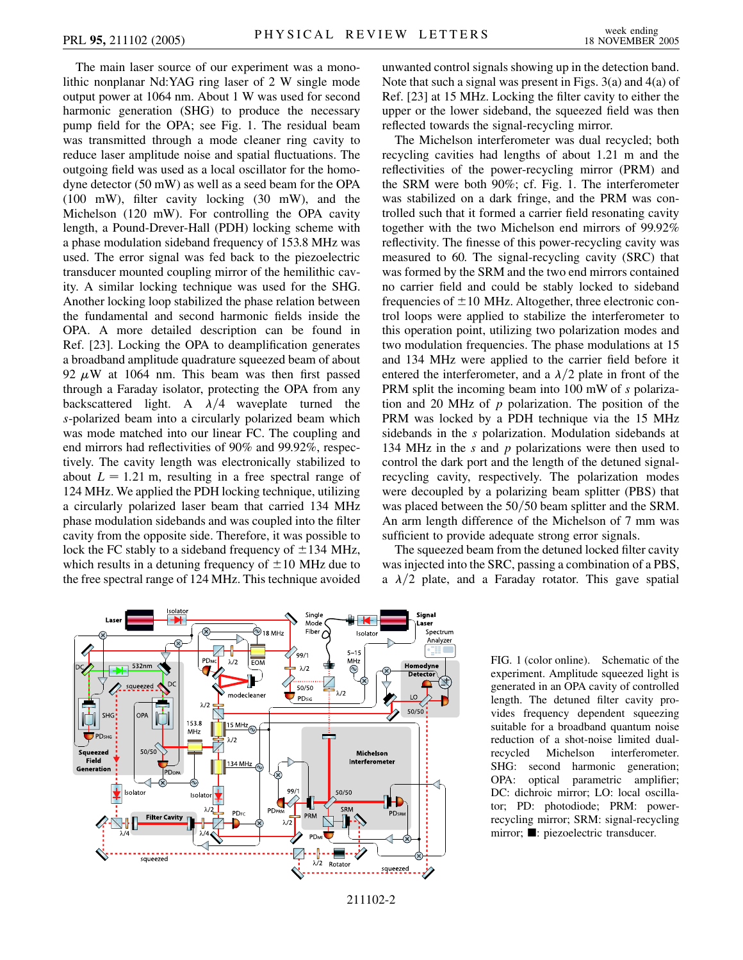The main laser source of our experiment was a monolithic nonplanar Nd:YAG ring laser of 2 W single mode output power at 1064 nm. About 1 W was used for second harmonic generation (SHG) to produce the necessary pump field for the OPA; see Fig. 1. The residual beam was transmitted through a mode cleaner ring cavity to reduce laser amplitude noise and spatial fluctuations. The outgoing field was used as a local oscillator for the homodyne detector (50 mW) as well as a seed beam for the OPA (100 mW), filter cavity locking (30 mW), and the Michelson (120 mW). For controlling the OPA cavity length, a Pound-Drever-Hall (PDH) locking scheme with a phase modulation sideband frequency of 153.8 MHz was used. The error signal was fed back to the piezoelectric transducer mounted coupling mirror of the hemilithic cavity. A similar locking technique was used for the SHG. Another locking loop stabilized the phase relation between the fundamental and second harmonic fields inside the OPA. A more detailed description can be found in Ref. [23]. Locking the OPA to deamplification generates a broadband amplitude quadrature squeezed beam of about 92  $\mu$ W at 1064 nm. This beam was then first passed through a Faraday isolator, protecting the OPA from any backscattered light. A  $\lambda/4$  waveplate turned the *s*-polarized beam into a circularly polarized beam which was mode matched into our linear FC. The coupling and end mirrors had reflectivities of 90% and 99.92%, respectively. The cavity length was electronically stabilized to about  $L = 1.21$  m, resulting in a free spectral range of 124 MHz. We applied the PDH locking technique, utilizing a circularly polarized laser beam that carried 134 MHz phase modulation sidebands and was coupled into the filter cavity from the opposite side. Therefore, it was possible to lock the FC stably to a sideband frequency of  $\pm$ 134 MHz, which results in a detuning frequency of  $\pm 10$  MHz due to the free spectral range of 124 MHz. This technique avoided unwanted control signals showing up in the detection band. Note that such a signal was present in Figs. 3(a) and 4(a) of Ref. [23] at 15 MHz. Locking the filter cavity to either the upper or the lower sideband, the squeezed field was then reflected towards the signal-recycling mirror.

The Michelson interferometer was dual recycled; both recycling cavities had lengths of about 1.21 m and the reflectivities of the power-recycling mirror (PRM) and the SRM were both 90%; cf. Fig. 1. The interferometer was stabilized on a dark fringe, and the PRM was controlled such that it formed a carrier field resonating cavity together with the two Michelson end mirrors of 99.92% reflectivity. The finesse of this power-recycling cavity was measured to 60. The signal-recycling cavity (SRC) that was formed by the SRM and the two end mirrors contained no carrier field and could be stably locked to sideband frequencies of  $\pm 10$  MHz. Altogether, three electronic control loops were applied to stabilize the interferometer to this operation point, utilizing two polarization modes and two modulation frequencies. The phase modulations at 15 and 134 MHz were applied to the carrier field before it entered the interferometer, and a  $\lambda/2$  plate in front of the PRM split the incoming beam into 100 mW of *s* polarization and 20 MHz of *p* polarization. The position of the PRM was locked by a PDH technique via the 15 MHz sidebands in the *s* polarization. Modulation sidebands at 134 MHz in the *s* and *p* polarizations were then used to control the dark port and the length of the detuned signalrecycling cavity, respectively. The polarization modes were decoupled by a polarizing beam splitter (PBS) that was placed between the 50/50 beam splitter and the SRM. An arm length difference of the Michelson of 7 mm was sufficient to provide adequate strong error signals.

The squeezed beam from the detuned locked filter cavity was injected into the SRC, passing a combination of a PBS, a  $\lambda/2$  plate, and a Faraday rotator. This gave spatial



FIG. 1 (color online). Schematic of the experiment. Amplitude squeezed light is generated in an OPA cavity of controlled length. The detuned filter cavity provides frequency dependent squeezing suitable for a broadband quantum noise reduction of a shot-noise limited dualrecycled Michelson interferometer. SHG: second harmonic generation; OPA: optical parametric amplifier; DC: dichroic mirror; LO: local oscillator; PD: photodiode; PRM: powerrecycling mirror; SRM: signal-recycling mirror; **n**: piezoelectric transducer.

<sup>211102-2</sup>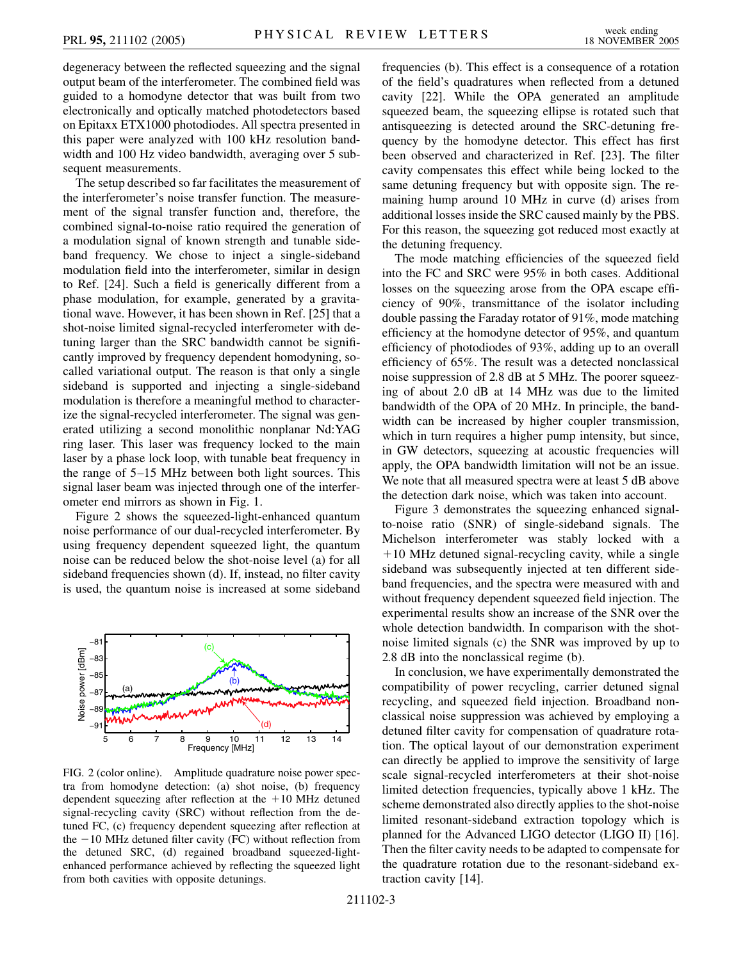degeneracy between the reflected squeezing and the signal output beam of the interferometer. The combined field was guided to a homodyne detector that was built from two electronically and optically matched photodetectors based on Epitaxx ETX1000 photodiodes. All spectra presented in this paper were analyzed with 100 kHz resolution bandwidth and 100 Hz video bandwidth, averaging over 5 subsequent measurements.

The setup described so far facilitates the measurement of the interferometer's noise transfer function. The measurement of the signal transfer function and, therefore, the combined signal-to-noise ratio required the generation of a modulation signal of known strength and tunable sideband frequency. We chose to inject a single-sideband modulation field into the interferometer, similar in design to Ref. [24]. Such a field is generically different from a phase modulation, for example, generated by a gravitational wave. However, it has been shown in Ref. [25] that a shot-noise limited signal-recycled interferometer with detuning larger than the SRC bandwidth cannot be significantly improved by frequency dependent homodyning, socalled variational output. The reason is that only a single sideband is supported and injecting a single-sideband modulation is therefore a meaningful method to characterize the signal-recycled interferometer. The signal was generated utilizing a second monolithic nonplanar Nd:YAG ring laser. This laser was frequency locked to the main laser by a phase lock loop, with tunable beat frequency in the range of 5–15 MHz between both light sources. This signal laser beam was injected through one of the interferometer end mirrors as shown in Fig. 1.

Figure 2 shows the squeezed-light-enhanced quantum noise performance of our dual-recycled interferometer. By using frequency dependent squeezed light, the quantum noise can be reduced below the shot-noise level (a) for all sideband frequencies shown (d). If, instead, no filter cavity is used, the quantum noise is increased at some sideband



FIG. 2 (color online). Amplitude quadrature noise power spectra from homodyne detection: (a) shot noise, (b) frequency dependent squeezing after reflection at the  $+10$  MHz detuned signal-recycling cavity (SRC) without reflection from the detuned FC, (c) frequency dependent squeezing after reflection at the  $-10$  MHz detuned filter cavity (FC) without reflection from the detuned SRC, (d) regained broadband squeezed-lightenhanced performance achieved by reflecting the squeezed light from both cavities with opposite detunings.

frequencies (b). This effect is a consequence of a rotation of the field's quadratures when reflected from a detuned cavity [22]. While the OPA generated an amplitude squeezed beam, the squeezing ellipse is rotated such that antisqueezing is detected around the SRC-detuning frequency by the homodyne detector. This effect has first been observed and characterized in Ref. [23]. The filter cavity compensates this effect while being locked to the same detuning frequency but with opposite sign. The remaining hump around 10 MHz in curve (d) arises from additional losses inside the SRC caused mainly by the PBS. For this reason, the squeezing got reduced most exactly at the detuning frequency.

The mode matching efficiencies of the squeezed field into the FC and SRC were 95% in both cases. Additional losses on the squeezing arose from the OPA escape efficiency of 90%, transmittance of the isolator including double passing the Faraday rotator of 91%, mode matching efficiency at the homodyne detector of 95%, and quantum efficiency of photodiodes of 93%, adding up to an overall efficiency of 65%. The result was a detected nonclassical noise suppression of 2.8 dB at 5 MHz. The poorer squeezing of about 2.0 dB at 14 MHz was due to the limited bandwidth of the OPA of 20 MHz. In principle, the bandwidth can be increased by higher coupler transmission, which in turn requires a higher pump intensity, but since, in GW detectors, squeezing at acoustic frequencies will apply, the OPA bandwidth limitation will not be an issue. We note that all measured spectra were at least 5 dB above the detection dark noise, which was taken into account.

Figure 3 demonstrates the squeezing enhanced signalto-noise ratio (SNR) of single-sideband signals. The Michelson interferometer was stably locked with a  $+10$  MHz detuned signal-recycling cavity, while a single sideband was subsequently injected at ten different sideband frequencies, and the spectra were measured with and without frequency dependent squeezed field injection. The experimental results show an increase of the SNR over the whole detection bandwidth. In comparison with the shotnoise limited signals (c) the SNR was improved by up to 2.8 dB into the nonclassical regime (b).

In conclusion, we have experimentally demonstrated the compatibility of power recycling, carrier detuned signal recycling, and squeezed field injection. Broadband nonclassical noise suppression was achieved by employing a detuned filter cavity for compensation of quadrature rotation. The optical layout of our demonstration experiment can directly be applied to improve the sensitivity of large scale signal-recycled interferometers at their shot-noise limited detection frequencies, typically above 1 kHz. The scheme demonstrated also directly applies to the shot-noise limited resonant-sideband extraction topology which is planned for the Advanced LIGO detector (LIGO II) [16]. Then the filter cavity needs to be adapted to compensate for the quadrature rotation due to the resonant-sideband extraction cavity [14].